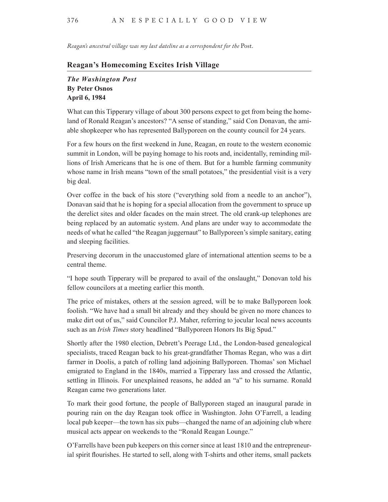*Reagan's ancestral village was my last dateline as a correspondent for the* Post.

## **Reagan's Homecoming Excites Irish Village**

## *The Washington Post* **By Peter Osnos April 6, 1984**

What can this Tipperary village of about 300 persons expect to get from being the homeland of Ronald Reagan's ancestors? "A sense of standing," said Con Donavan, the amiable shopkeeper who has represented Ballyporeen on the county council for 24 years.

For a few hours on the first weekend in June, Reagan, en route to the western economic summit in London, will be paying homage to his roots and, incidentally, reminding millions of Irish Americans that he is one of them. But for a humble farming community whose name in Irish means "town of the small potatoes," the presidential visit is a very big deal.

Over coffee in the back of his store ("everything sold from a needle to an anchor"), Donavan said that he is hoping for a special allocation from the government to spruce up the derelict sites and older facades on the main street. The old crank-up telephones are being replaced by an automatic system. And plans are under way to accommodate the needs of what he called "the Reagan juggernaut" to Ballyporeen's simple sanitary, eating and sleeping facilities.

Preserving decorum in the unaccustomed glare of international attention seems to be a central theme.

"I hope south Tipperary will be prepared to avail of the onslaught," Donovan told his fellow councilors at a meeting earlier this month.

The price of mistakes, others at the session agreed, will be to make Ballyporeen look foolish. "We have had a small bit already and they should be given no more chances to make dirt out of us," said Councilor P.J. Maher, referring to jocular local news accounts such as an *Irish Times* story headlined "Ballyporeen Honors Its Big Spud."

Shortly after the 1980 election, Debrett's Peerage Ltd., the London-based genealogical specialists, traced Reagan back to his great-grandfather Thomas Regan, who was a dirt farmer in Doolis, a patch of rolling land adjoining Ballyporeen. Thomas' son Michael emigrated to England in the 1840s, married a Tipperary lass and crossed the Atlantic, settling in Illinois. For unexplained reasons, he added an "a" to his surname. Ronald Reagan came two generations later.

To mark their good fortune, the people of Ballyporeen staged an inaugural parade in pouring rain on the day Reagan took office in Washington. John O'Farrell, a leading local pub keeper—the town has six pubs—changed the name of an adjoining club where musical acts appear on weekends to the "Ronald Reagan Lounge."

O'Farrells have been pub keepers on this corner since at least 1810 and the entrepreneurial spirit flourishes. He started to sell, along with T-shirts and other items, small packets